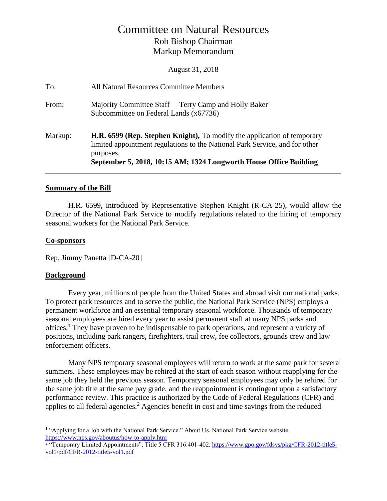# Committee on Natural Resources Rob Bishop Chairman Markup Memorandum

August 31, 2018

| To:     | All Natural Resources Committee Members                                                                                                                                                                                                  |
|---------|------------------------------------------------------------------------------------------------------------------------------------------------------------------------------------------------------------------------------------------|
| From:   | Majority Committee Staff— Terry Camp and Holly Baker<br>Subcommittee on Federal Lands (x67736)                                                                                                                                           |
| Markup: | H.R. 6599 (Rep. Stephen Knight), To modify the application of temporary<br>limited appointment regulations to the National Park Service, and for other<br>purposes.<br>September 5, 2018, 10:15 AM; 1324 Longworth House Office Building |

#### **Summary of the Bill**

H.R. 6599, introduced by Representative Stephen Knight (R-CA-25), would allow the Director of the National Park Service to modify regulations related to the hiring of temporary seasonal workers for the National Park Service.

### **Co-sponsors**

Rep. Jimmy Panetta [D-CA-20]

### **Background**

 $\overline{a}$ 

Every year, millions of people from the United States and abroad visit our national parks. To protect park resources and to serve the public, the National Park Service (NPS) employs a permanent workforce and an essential temporary seasonal workforce. Thousands of temporary seasonal employees are hired every year to assist permanent staff at many NPS parks and offices.<sup>1</sup> They have proven to be indispensable to park operations, and represent a variety of positions, including park rangers, firefighters, trail crew, fee collectors, grounds crew and law enforcement officers.

Many NPS temporary seasonal employees will return to work at the same park for several summers. These employees may be rehired at the start of each season without reapplying for the same job they held the previous season. Temporary seasonal employees may only be rehired for the same job title at the same pay grade, and the reappointment is contingent upon a satisfactory performance review. This practice is authorized by the Code of Federal Regulations (CFR) and applies to all federal agencies.<sup>2</sup> Agencies benefit in cost and time savings from the reduced

<sup>&</sup>lt;sup>1</sup> "Applying for a Job with the National Park Service." About Us. National Park Service website. <https://www.nps.gov/aboutus/how-to-apply.htm><br><sup>2</sup> "Temporary Limited Appointments". Title 5 CFR 316.401-402. <u>https://www.gpo.gov/fdsys/pkg/CFR-2012-title5</u>-

[vol1/pdf/CFR-2012-title5-vol1.pdf](https://www.gpo.gov/fdsys/pkg/CFR-2012-title5-vol1/pdf/CFR-2012-title5-vol1.pdf)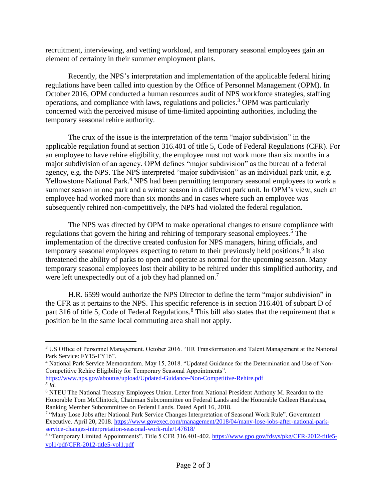recruitment, interviewing, and vetting workload, and temporary seasonal employees gain an element of certainty in their summer employment plans.

Recently, the NPS's interpretation and implementation of the applicable federal hiring regulations have been called into question by the Office of Personnel Management (OPM). In October 2016, OPM conducted a human resources audit of NPS workforce strategies, staffing operations, and compliance with laws, regulations and policies.<sup>3</sup> OPM was particularly concerned with the perceived misuse of time-limited appointing authorities, including the temporary seasonal rehire authority.

The crux of the issue is the interpretation of the term "major subdivision" in the applicable regulation found at section 316.401 of title 5, Code of Federal Regulations (CFR). For an employee to have rehire eligibility, the employee must not work more than six months in a major subdivision of an agency. OPM defines "major subdivision" as the bureau of a federal agency, e.g. the NPS. The NPS interpreted "major subdivision" as an individual park unit, e.g. Yellowstone National Park.<sup>4</sup> NPS had been permitting temporary seasonal employees to work a summer season in one park and a winter season in a different park unit. In OPM's view, such an employee had worked more than six months and in cases where such an employee was subsequently rehired non-competitively, the NPS had violated the federal regulation.

The NPS was directed by OPM to make operational changes to ensure compliance with regulations that govern the hiring and rehiring of temporary seasonal employees.<sup>5</sup> The implementation of the directive created confusion for NPS managers, hiring officials, and temporary seasonal employees expecting to return to their previously held positions.<sup>6</sup> It also threatened the ability of parks to open and operate as normal for the upcoming season. Many temporary seasonal employees lost their ability to be rehired under this simplified authority, and were left unexpectedly out of a job they had planned on.<sup>7</sup>

H.R. 6599 would authorize the NPS Director to define the term "major subdivision" in the CFR as it pertains to the NPS. This specific reference is in section 316.401 of subpart D of part 316 of title 5, Code of Federal Regulations.<sup>8</sup> This bill also states that the requirement that a position be in the same local commuting area shall not apply.

 $\overline{a}$ 

<sup>3</sup> US Office of Personnel Management. October 2016. "HR Transformation and Talent Management at the National Park Service: FY15-FY16".

<sup>4</sup> National Park Service Memorandum. May 15, 2018. "Updated Guidance for the Determination and Use of Non-Competitive Rehire Eligibility for Temporary Seasonal Appointments".

<https://www.nps.gov/aboutus/upload/Updated-Guidance-Non-Competitive-Rehire.pdf> *5 Id.* 

<sup>6</sup> NTEU The National Treasury Employees Union. Letter from National President Anthony M. Reardon to the Honorable Tom McClintock, Chairman Subcommittee on Federal Lands and the Honorable Colleen Hanabusa, Ranking Member Subcommittee on Federal Lands. Dated April 16, 2018.

<sup>&</sup>lt;sup>7</sup> "Many Lose Jobs after National Park Service Changes Interpretation of Seasonal Work Rule". Government Executive. April 20, 2018[. https://www.govexec.com/management/2018/04/many-lose-jobs-after-national-park](https://www.govexec.com/management/2018/04/many-lose-jobs-after-national-park-service-changes-interpretation-seasonal-work-rule/147618/)[service-changes-interpretation-seasonal-work-rule/147618/](https://www.govexec.com/management/2018/04/many-lose-jobs-after-national-park-service-changes-interpretation-seasonal-work-rule/147618/)

<sup>&</sup>lt;sup>8</sup> "Temporary Limited Appointments". Title 5 CFR 316.401-402[. https://www.gpo.gov/fdsys/pkg/CFR-2012-title5](https://www.gpo.gov/fdsys/pkg/CFR-2012-title5-vol1/pdf/CFR-2012-title5-vol1.pdf) [vol1/pdf/CFR-2012-title5-vol1.pdf](https://www.gpo.gov/fdsys/pkg/CFR-2012-title5-vol1/pdf/CFR-2012-title5-vol1.pdf)